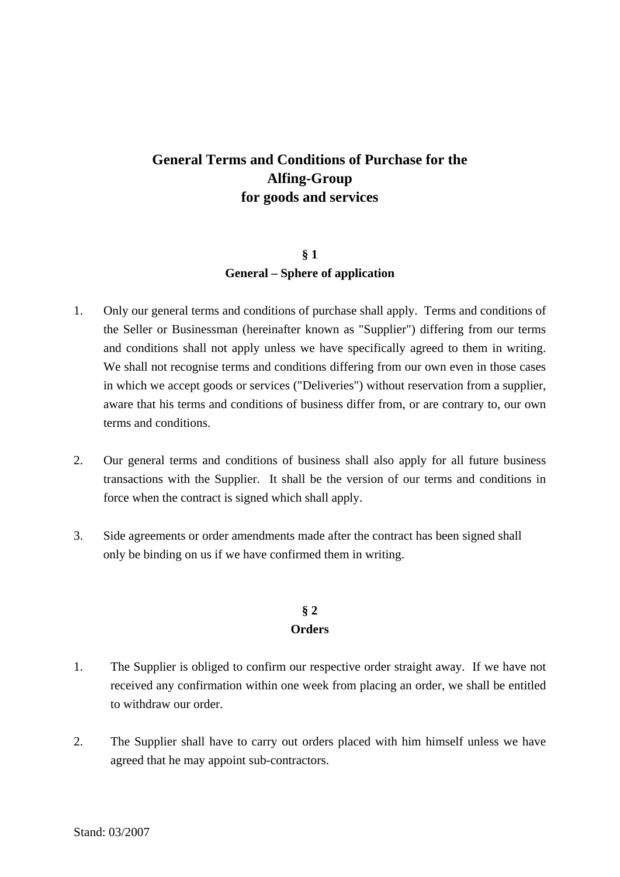# **General Terms and Conditions of Purchase for the Alfing-Group for goods and services**

## **§ 1 General – Sphere of application**

- 1. Only our general terms and conditions of purchase shall apply. Terms and conditions of the Seller or Businessman (hereinafter known as "Supplier") differing from our terms and conditions shall not apply unless we have specifically agreed to them in writing. We shall not recognise terms and conditions differing from our own even in those cases in which we accept goods or services ("Deliveries") without reservation from a supplier, aware that his terms and conditions of business differ from, or are contrary to, our own terms and conditions.
- 2. Our general terms and conditions of business shall also apply for all future business transactions with the Supplier. It shall be the version of our terms and conditions in force when the contract is signed which shall apply.
- 3. Side agreements or order amendments made after the contract has been signed shall only be binding on us if we have confirmed them in writing.

# **§ 2 Orders**

- 1. The Supplier is obliged to confirm our respective order straight away. If we have not received any confirmation within one week from placing an order, we shall be entitled to withdraw our order.
- 2. The Supplier shall have to carry out orders placed with him himself unless we have agreed that he may appoint sub-contractors.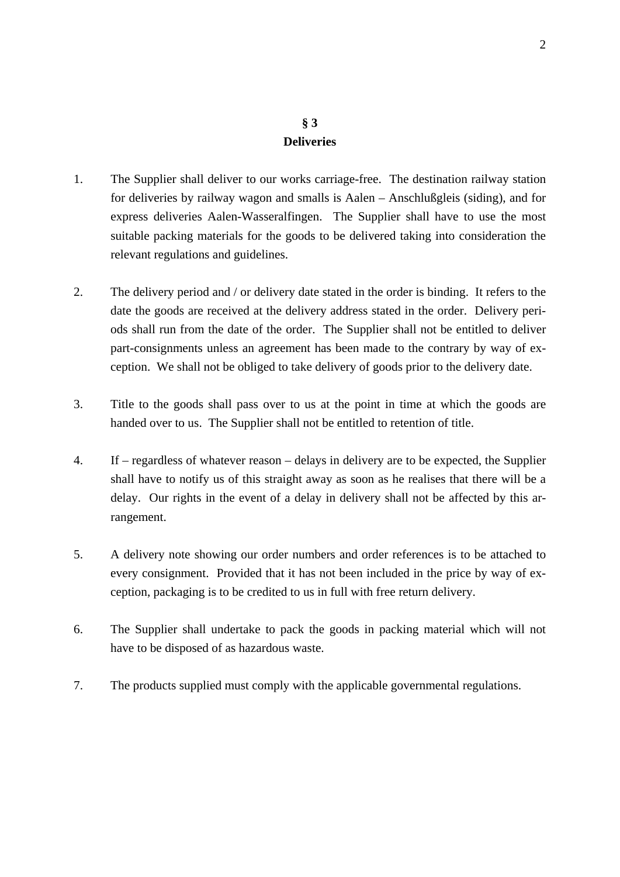# **§ 3 Deliveries**

- 1. The Supplier shall deliver to our works carriage-free. The destination railway station for deliveries by railway wagon and smalls is Aalen – Anschlußgleis (siding), and for express deliveries Aalen-Wasseralfingen. The Supplier shall have to use the most suitable packing materials for the goods to be delivered taking into consideration the relevant regulations and guidelines.
- 2. The delivery period and / or delivery date stated in the order is binding. It refers to the date the goods are received at the delivery address stated in the order. Delivery periods shall run from the date of the order. The Supplier shall not be entitled to deliver part-consignments unless an agreement has been made to the contrary by way of exception. We shall not be obliged to take delivery of goods prior to the delivery date.
- 3. Title to the goods shall pass over to us at the point in time at which the goods are handed over to us. The Supplier shall not be entitled to retention of title.
- 4. If regardless of whatever reason delays in delivery are to be expected, the Supplier shall have to notify us of this straight away as soon as he realises that there will be a delay. Our rights in the event of a delay in delivery shall not be affected by this arrangement.
- 5. A delivery note showing our order numbers and order references is to be attached to every consignment. Provided that it has not been included in the price by way of exception, packaging is to be credited to us in full with free return delivery.
- 6. The Supplier shall undertake to pack the goods in packing material which will not have to be disposed of as hazardous waste.
- 7. The products supplied must comply with the applicable governmental regulations.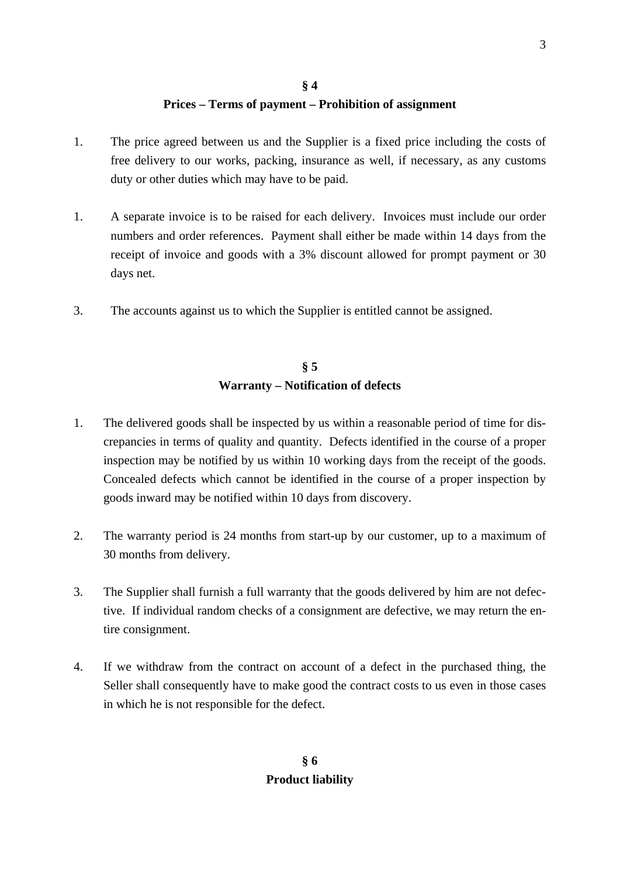# **§ 4 Prices – Terms of payment – Prohibition of assignment**

- 1. The price agreed between us and the Supplier is a fixed price including the costs of free delivery to our works, packing, insurance as well, if necessary, as any customs duty or other duties which may have to be paid.
- 1. A separate invoice is to be raised for each delivery. Invoices must include our order numbers and order references. Payment shall either be made within 14 days from the receipt of invoice and goods with a 3% discount allowed for prompt payment or 30 days net.
- 3. The accounts against us to which the Supplier is entitled cannot be assigned.

### **§ 5 Warranty – Notification of defects**

- 1. The delivered goods shall be inspected by us within a reasonable period of time for discrepancies in terms of quality and quantity. Defects identified in the course of a proper inspection may be notified by us within 10 working days from the receipt of the goods. Concealed defects which cannot be identified in the course of a proper inspection by goods inward may be notified within 10 days from discovery.
- 2. The warranty period is 24 months from start-up by our customer, up to a maximum of 30 months from delivery.
- 3. The Supplier shall furnish a full warranty that the goods delivered by him are not defective. If individual random checks of a consignment are defective, we may return the entire consignment.
- 4. If we withdraw from the contract on account of a defect in the purchased thing, the Seller shall consequently have to make good the contract costs to us even in those cases in which he is not responsible for the defect.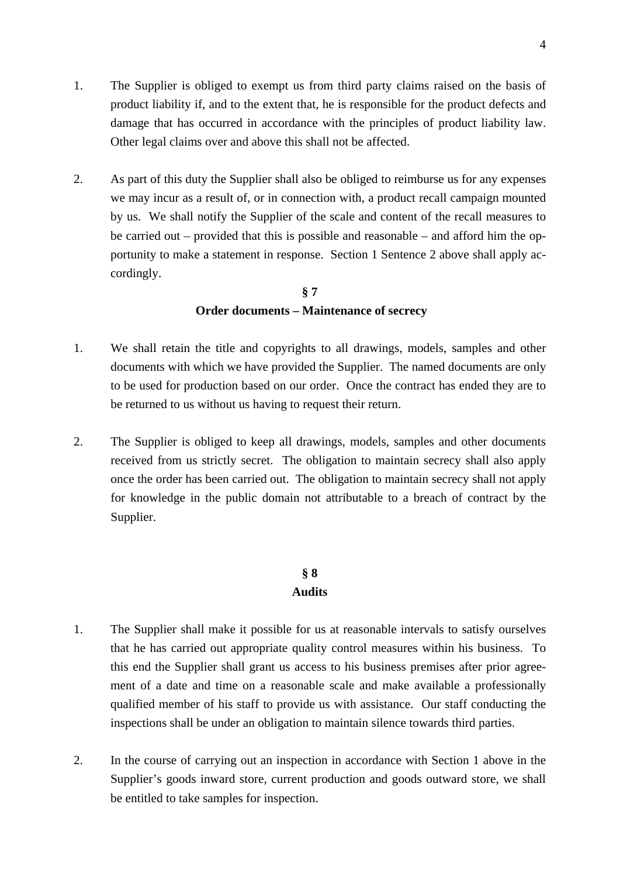- 1. The Supplier is obliged to exempt us from third party claims raised on the basis of product liability if, and to the extent that, he is responsible for the product defects and damage that has occurred in accordance with the principles of product liability law. Other legal claims over and above this shall not be affected.
- 2. As part of this duty the Supplier shall also be obliged to reimburse us for any expenses we may incur as a result of, or in connection with, a product recall campaign mounted by us. We shall notify the Supplier of the scale and content of the recall measures to be carried out – provided that this is possible and reasonable – and afford him the opportunity to make a statement in response. Section 1 Sentence 2 above shall apply accordingly.

## **§ 7 Order documents – Maintenance of secrecy**

- 1. We shall retain the title and copyrights to all drawings, models, samples and other documents with which we have provided the Supplier. The named documents are only to be used for production based on our order. Once the contract has ended they are to be returned to us without us having to request their return.
- 2. The Supplier is obliged to keep all drawings, models, samples and other documents received from us strictly secret. The obligation to maintain secrecy shall also apply once the order has been carried out. The obligation to maintain secrecy shall not apply for knowledge in the public domain not attributable to a breach of contract by the Supplier.

### **§ 8 Audits**

- 1. The Supplier shall make it possible for us at reasonable intervals to satisfy ourselves that he has carried out appropriate quality control measures within his business. To this end the Supplier shall grant us access to his business premises after prior agreement of a date and time on a reasonable scale and make available a professionally qualified member of his staff to provide us with assistance. Our staff conducting the inspections shall be under an obligation to maintain silence towards third parties.
- 2. In the course of carrying out an inspection in accordance with Section 1 above in the Supplier's goods inward store, current production and goods outward store, we shall be entitled to take samples for inspection.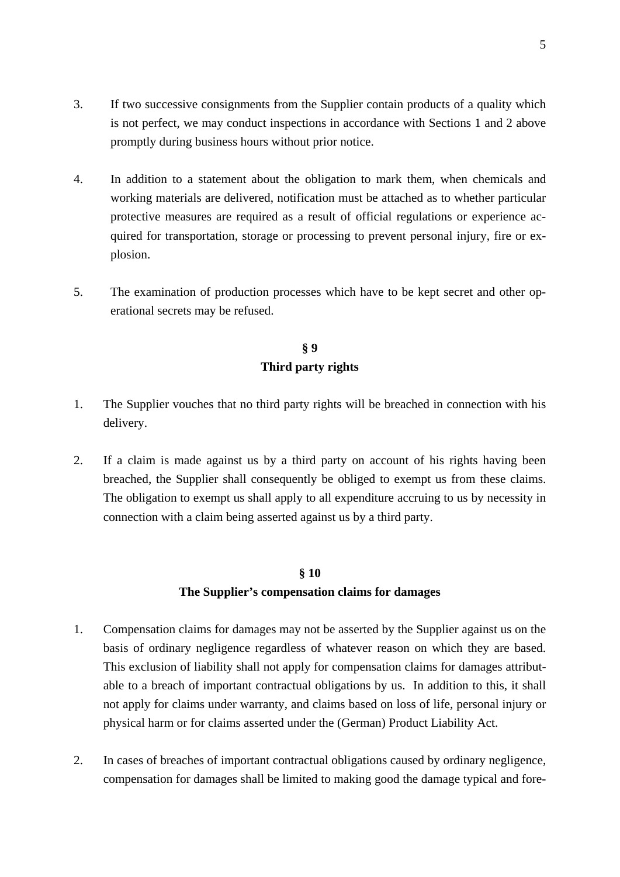- 3. If two successive consignments from the Supplier contain products of a quality which is not perfect, we may conduct inspections in accordance with Sections 1 and 2 above promptly during business hours without prior notice.
- 4. In addition to a statement about the obligation to mark them, when chemicals and working materials are delivered, notification must be attached as to whether particular protective measures are required as a result of official regulations or experience acquired for transportation, storage or processing to prevent personal injury, fire or explosion.
- 5. The examination of production processes which have to be kept secret and other operational secrets may be refused.

# **§ 9 Third party rights**

- 1. The Supplier vouches that no third party rights will be breached in connection with his delivery.
- 2. If a claim is made against us by a third party on account of his rights having been breached, the Supplier shall consequently be obliged to exempt us from these claims. The obligation to exempt us shall apply to all expenditure accruing to us by necessity in connection with a claim being asserted against us by a third party.

# **§ 10 The Supplier's compensation claims for damages**

- 1. Compensation claims for damages may not be asserted by the Supplier against us on the basis of ordinary negligence regardless of whatever reason on which they are based. This exclusion of liability shall not apply for compensation claims for damages attributable to a breach of important contractual obligations by us. In addition to this, it shall not apply for claims under warranty, and claims based on loss of life, personal injury or physical harm or for claims asserted under the (German) Product Liability Act.
- 2. In cases of breaches of important contractual obligations caused by ordinary negligence, compensation for damages shall be limited to making good the damage typical and fore-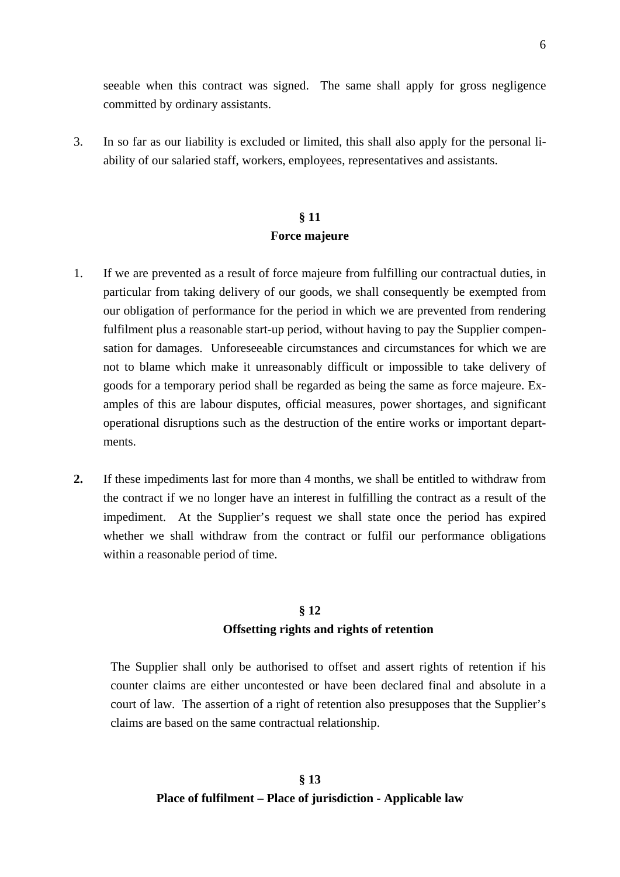seeable when this contract was signed. The same shall apply for gross negligence committed by ordinary assistants.

3. In so far as our liability is excluded or limited, this shall also apply for the personal liability of our salaried staff, workers, employees, representatives and assistants.

# **§ 11 Force majeure**

- 1. If we are prevented as a result of force majeure from fulfilling our contractual duties, in particular from taking delivery of our goods, we shall consequently be exempted from our obligation of performance for the period in which we are prevented from rendering fulfilment plus a reasonable start-up period, without having to pay the Supplier compensation for damages. Unforeseeable circumstances and circumstances for which we are not to blame which make it unreasonably difficult or impossible to take delivery of goods for a temporary period shall be regarded as being the same as force majeure. Examples of this are labour disputes, official measures, power shortages, and significant operational disruptions such as the destruction of the entire works or important departments.
- **2.** If these impediments last for more than 4 months, we shall be entitled to withdraw from the contract if we no longer have an interest in fulfilling the contract as a result of the impediment. At the Supplier's request we shall state once the period has expired whether we shall withdraw from the contract or fulfil our performance obligations within a reasonable period of time.

#### **§ 12**

#### **Offsetting rights and rights of retention**

The Supplier shall only be authorised to offset and assert rights of retention if his counter claims are either uncontested or have been declared final and absolute in a court of law. The assertion of a right of retention also presupposes that the Supplier's claims are based on the same contractual relationship.